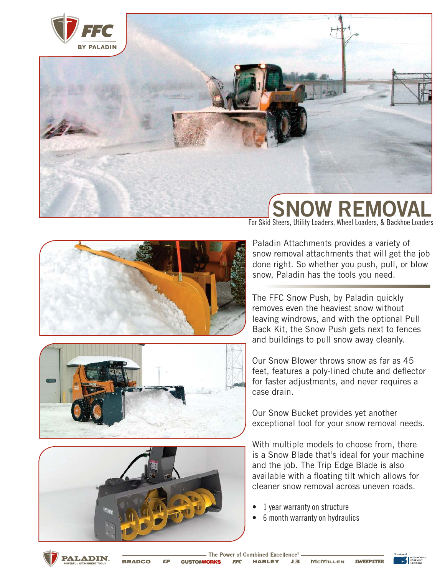

#### OW REM For Skid Steers, Utility Loaders, Wheel Loaders, & Backhoe Loaders







Paladin Attachments provides a variety of snow removal attachments that will get the job done right. So whether you push, pull, or blow snow, Paladin has the tools you need.

The FFC Snow Push, by Paladin quickly removes even the heaviest snow without leaving windrows, and with the optional Pull Back Kit, the Snow Push gets next to fences and buildings to pull snow away cleanly.

Our Snow Blower throws snow as far as 45 feet, features a poly-lined chute and deflector for faster adjustments, and never requires a case drain.

Our Snow Bucket provides yet another exceptional tool for your snow removal needs.

With multiple models to choose from, there is a Snow Blade that's ideal for your machine and the job. The Trip Edge Blade is also available with a floating tilt which allows for cleaner snow removal across uneven roads.

- 1 year warranty on structure
- 6 month warranty on hydraulics



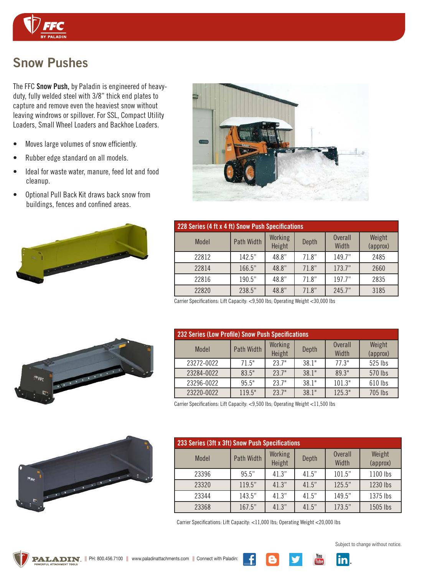

# Snow Pushes

The FFC Snow Push, by Paladin is engineered of heavyduty, fully welded steel with 3/8" thick end plates to capture and remove even the heaviest snow without leaving windrows or spillover. For SSL, Compact Utility Loaders, Small Wheel Loaders and Backhoe Loaders.

- Moves large volumes of snow efficiently.
- Rubber edge standard on all models.
- Ideal for waste water, manure, feed lot and food cleanup.
- Optional Pull Back Kit draws back snow from buildings, fences and confined areas.





| 228 Series (4 ft x 4 ft) Snow Push Specifications |            |                   |       |                         |                    |
|---------------------------------------------------|------------|-------------------|-------|-------------------------|--------------------|
| Model                                             | Path Width | Working<br>Height | Depth | <b>Overall</b><br>Width | Weight<br>(approx) |
| 22812                                             | 142.5"     | 48.8"             | 71.8" | 149.7"                  | 2485               |
| 22814                                             | 166.5"     | 48.8"             | 71.8" | 173.7"                  | 2660               |
| 22816                                             | 190.5"     | 48.8"             | 71.8" | 197.7"                  | 2835               |
| 22820                                             | 238.5"     | 48.8"             | 71.8" | 245.7"                  | 3185               |

Carrier Specifications: Lift Capacity: <9,500 lbs; Operating Weight <30,000 lbs

| <b>232 Series (Low Profile) Snow Push Specifications</b> |            |                   |       |                         |                    |
|----------------------------------------------------------|------------|-------------------|-------|-------------------------|--------------------|
| Model                                                    | Path Width | Working<br>Height | Depth | <b>Overall</b><br>Width | Weight<br>(approx) |
| 23272-0022                                               | 71.5"      | 23.7"             | 38.1" | 77.3"                   | 525 lbs            |
| 23284-0022                                               | 83.5"      | 23.7"             | 38.1" | 89.3"                   | 570 lbs            |
| 23296-0022                                               | 95.5"      | 23.7"             | 38.1" | 101.3"                  | 610 lbs            |
| 23220-0022                                               | 119.5"     | 23.7"             | 38.1" | 125.3"                  | 705 lbs            |

Carrier Specifications: Lift Capacity: <9,500 lbs; Operating Weight <11,500 lbs

| 233 Series (3ft x 3ft) Snow Push Specifications |            |                   |       |                         |                    |
|-------------------------------------------------|------------|-------------------|-------|-------------------------|--------------------|
| Model                                           | Path Width | Working<br>Height | Depth | <b>Overall</b><br>Width | Weight<br>(approx) |
| 23396                                           | 95.5"      | 41.3"             | 41.5" | 101.5"                  | 1100 lbs           |
| 23320                                           | 119.5"     | 41.3"             | 41.5" | 125.5"                  | 1230 lbs           |
| 23344                                           | 143.5"     | 41.3"             | 41.5" | 149.5"                  | 1375 lbs           |
| 23368                                           | 167.5"     | 41.3"             | 41.5" | 173.5"                  | 1505 lbs           |

Carrier Specifications: Lift Capacity: <11,000 lbs; Operating Weight <20,000 lbs





Subject to change without notice.





 $\frac{You}{I$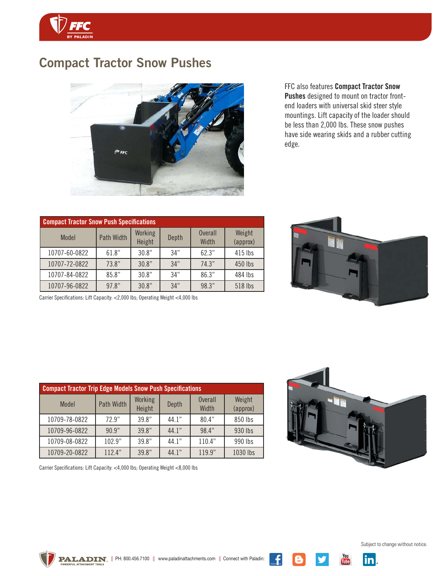

# Compact Tractor Snow Pushes



FFC also features Compact Tractor Snow Pushes designed to mount on tractor frontend loaders with universal skid steer style mountings. Lift capacity of the loader should be less than 2,000 lbs. These snow pushes have side wearing skids and a rubber cutting edge.

| <b>Compact Tractor Snow Push Specifications</b> |            |                   |       |                         |                    |
|-------------------------------------------------|------------|-------------------|-------|-------------------------|--------------------|
| Model                                           | Path Width | Working<br>Height | Depth | <b>Overall</b><br>Width | Weight<br>(approx) |
| 10707-60-0822                                   | 61.8"      | 30.8"             | 34"   | 62.3"                   | 415 lbs            |
| 10707-72-0822                                   | 73.8"      | 30.8"             | 34"   | 74.3"                   | 450 lbs            |
| 10707-84-0822                                   | 85.8"      | 30.8"             | 34"   | 86.3"                   | 484 lbs            |
| 10707-96-0822                                   | 97.8"      | 30.8"             | 34"   | 98.3"                   | 518 lbs            |

Carrier Specifications: Lift Capacity: <2,000 lbs; Operating Weight <4,000 lbs



| <b>Compact Tractor Trip Edge Models Snow Push Specifications</b> |            |                   |       |                         |                    |
|------------------------------------------------------------------|------------|-------------------|-------|-------------------------|--------------------|
| Model                                                            | Path Width | Working<br>Height | Depth | <b>Overall</b><br>Width | Weight<br>(approx) |
| 10709-78-0822                                                    | 72.9"      | 39.8"             | 44.1" | 80.4"                   | 850 lbs            |
| 10709-96-0822                                                    | 90.9"      | 39.8"             | 44.1" | 98.4"                   | 930 lbs            |
| 10709-08-0822                                                    | 102.9"     | 39.8"             | 44.1" | 110.4"                  | 990 lbs            |
| 10709-20-0822                                                    | 112.4"     | 39.8"             | 44.1" | 119.9"                  | 1030 lbs           |



 $\frac{You}{Iulbe}$ 

in.

Carrier Specifications: Lift Capacity: <4,000 lbs; Operating Weight <8,000 lbs

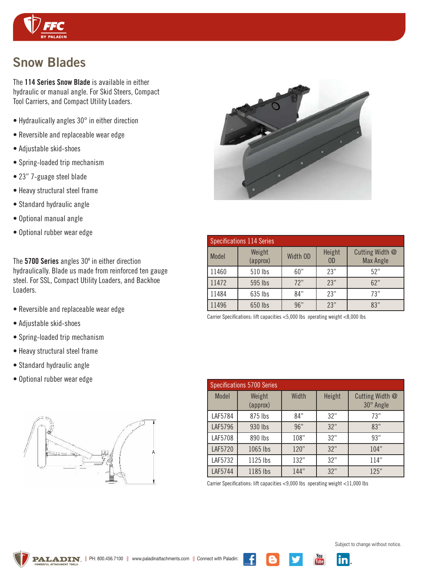

# Snow Blades

The 114 Series Snow Blade is available in either hydraulic or manual angle. For Skid Steers, Compact Tool Carriers, and Compact Utility Loaders.

- Hydraulically angles 30° in either direction
- Reversible and replaceable wear edge
- Adjustable skid-shoes
- Spring-loaded trip mechanism
- 23" 7-guage steel blade
- Heavy structural steel frame
- Standard hydraulic angle
- Optional manual angle
- Optional rubber wear edge

The 5700 Series angles 30º in either direction hydraulically. Blade us made from reinforced ten gauge steel. For SSL, Compact Utility Loaders, and Backhoe Loaders.

- Reversible and replaceable wear edge
- Adjustable skid-shoes
- Spring-loaded trip mechanism
- Heavy structural steel frame
- Standard hydraulic angle
- Optional rubber wear edge





|       | <b>Specifications 114 Series</b> |          |                          |                                     |
|-------|----------------------------------|----------|--------------------------|-------------------------------------|
| Model | Weight<br>(approx)               | Width OD | Height<br>0 <sub>D</sub> | Cutting Width @<br><b>Max Angle</b> |
| 11460 | 510 lbs                          | 60"      | 23"                      | 52"                                 |
| 11472 | 595 lbs                          | 72"      | 23"                      | 62"                                 |
| 11484 | 635 lbs                          | 84"      | 23"                      | 73"                                 |
| 11496 | 650 lbs                          | 96"      | 23"                      | 83"                                 |

Carrier Specifications: lift capacities <5,000 lbs operating weight <8,000 lbs

|         | <b>Specifications 5700 Series</b> |       |        |                                     |
|---------|-----------------------------------|-------|--------|-------------------------------------|
| Model   | Weight<br>(approx)                | Width | Height | Cutting Width @<br>$30^\circ$ Angle |
| LAF5784 | 875 lbs                           | 84"   | 32"    | 73"                                 |
| LAF5796 | 930 lbs                           | 96"   | 32"    | 83"                                 |
| LAF5708 | 890 lbs                           | 108"  | 32"    | 93"                                 |
| LAF5720 | 1065 lbs                          | 120"  | 32"    | 104"                                |
| LAF5732 | 1125 lbs                          | 132"  | 32"    | 114"                                |
| LAF5744 | 1185 lbs                          | 144"  | 32"    | 125"                                |

 $\frac{You}{IIII}$ 

inl

Carrier Specifications: lift capacities <9,000 lbs operating weight <11,000 lbs



Subject to change without notice.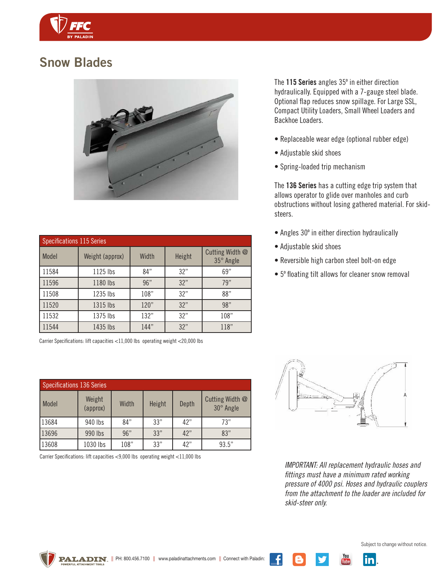

### Snow Blades



| <b>Specifications 115 Series</b> |                 |       |        |                              |
|----------------------------------|-----------------|-------|--------|------------------------------|
| <b>Model</b>                     | Weight (approx) | Width | Height | Cutting Width @<br>35° Angle |
| 11584                            | 1125 lbs        | 84"   | 32"    | 69"                          |
| 11596                            | 1180 lbs        | 96"   | 32"    | 79"                          |
| 11508                            | 1235 lbs        | 108"  | 32"    | 88"                          |
| 11520                            | 1315 lbs        | 120"  | 32"    | 98"                          |
| 11532                            | 1375 lbs        | 132"  | 32"    | 108"                         |
| 11544                            | 1435 lbs        | 144"  | 32"    | 118"                         |

Carrier Specifications: lift capacities <11,000 lbs operating weight <20,000 lbs

| Specifications 136 Series |                    |       |        |       |                              |
|---------------------------|--------------------|-------|--------|-------|------------------------------|
| Model                     | Weight<br>(approx) | Width | Height | Depth | Cutting Width @<br>30° Angle |
| 13684                     | 940 lbs            | 84"   | 33"    | 42"   | 73"                          |
| 13696                     | 990 lbs            | 96"   | 33"    | 42"   | 83"                          |
| 13608                     | 1030 lbs           | 108"  | 33"    | 42"   | 93.5"                        |

Carrier Specifications: lift capacities <9,000 lbs operating weight <11,000 lbs

The 115 Series angles 35º in either direction hydraulically. Equipped with a 7-gauge steel blade. Optional flap reduces snow spillage. For Large SSL, Compact Utility Loaders, Small Wheel Loaders and Backhoe Loaders.

- Replaceable wear edge (optional rubber edge)
- Adjustable skid shoes
- Spring-loaded trip mechanism

The 136 Series has a cutting edge trip system that allows operator to glide over manholes and curb obstructions without losing gathered material. For skidsteers.

- Angles 30º in either direction hydraulically
- Adjustable skid shoes
- Reversible high carbon steel bolt-on edge
- 5º floating tilt allows for cleaner snow removal



*IMPORTANT: All replacement hydraulic hoses and fittings must have a minimum rated working pressure of 4000 psi. Hoses and hydraulic couplers from the attachment to the loader are included for skid-steer only.*

<u>inl</u>

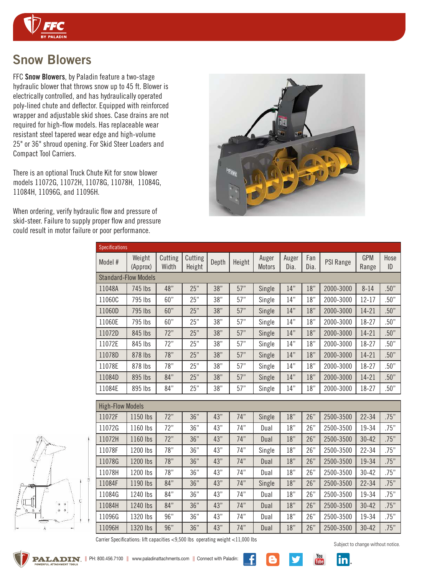

## Snow Blowers

FFC Snow Blowers, by Paladin feature a two-stage hydraulic blower that throws snow up to 45 ft. Blower is electrically controlled, and has hydraulically operated poly-lined chute and deflector. Equipped with reinforced wrapper and adjustable skid shoes. Case drains are not required for high-flow models. Has replaceable wear resistant steel tapered wear edge and high-volume 25" or 36" shroud opening. For Skid Steer Loaders and Compact Tool Carriers.

There is an optional Truck Chute Kit for snow blower models 11072G, 11072H, 11078G, 11078H, 11084G, 11084H, 11096G, and 11096H.

When ordering, verify hydraulic flow and pressure of skid-steer. Failure to supply proper flow and pressure could result in motor failure or poor performance.



| <b>Specifications</b>   |                             |                  |                   |       |        |                        |               |             |           |                     |            |
|-------------------------|-----------------------------|------------------|-------------------|-------|--------|------------------------|---------------|-------------|-----------|---------------------|------------|
| Model #                 | Weight<br>(Approx)          | Cutting<br>Width | Cutting<br>Height | Depth | Height | Auger<br><b>Motors</b> | Auger<br>Dia. | Fan<br>Dia. | PSI Range | <b>GPM</b><br>Range | Hose<br>ID |
|                         | <b>Standard-Flow Models</b> |                  |                   |       |        |                        |               |             |           |                     |            |
| 11048A                  | 745 lbs                     | 48"              | 25"               | 38"   | 57"    | Single                 | 14"           | 18"         | 2000-3000 | $8 - 14$            | .50"       |
| 11060C                  | 795 lbs                     | 60"              | 25"               | 38"   | 57"    | Single                 | 14"           | 18"         | 2000-3000 | 12-17               | .50"       |
| 11060D                  | 795 lbs                     | 60"              | 25"               | 38"   | 57"    | Single                 | 14"           | 18"         | 2000-3000 | $14 - 21$           | .50"       |
| 11060E                  | 795 lbs                     | 60"              | 25"               | 38"   | 57"    | Single                 | 14"           | 18"         | 2000-3000 | 18-27               | .50"       |
| 11072D                  | 845 lbs                     | 72"              | 25"               | 38"   | 57"    | Single                 | 14"           | 18"         | 2000-3000 | $14 - 21$           | .50"       |
| 11072E                  | 845 lbs                     | 72"              | 25"               | 38"   | 57"    | Single                 | 14"           | 18"         | 2000-3000 | 18-27               | .50"       |
| 11078D                  | 878 lbs                     | 78"              | 25"               | 38"   | 57"    | Single                 | 14"           | 18"         | 2000-3000 | $14 - 21$           | .50"       |
| 11078E                  | 878 lbs                     | 78"              | 25"               | 38"   | 57"    | Single                 | 14"           | 18"         | 2000-3000 | 18-27               | .50"       |
| 11084D                  | 895 lbs                     | 84"              | 25"               | 38"   | 57"    | Single                 | 14"           | 18"         | 2000-3000 | 14-21               | .50"       |
| 11084E                  | 895 lbs                     | 84"              | 25"               | 38"   | 57"    | Single                 | 14"           | 18"         | 2000-3000 | 18-27               | .50"       |
| <b>High-Flow Models</b> |                             |                  |                   |       |        |                        |               |             |           |                     |            |
| 11072F                  | 1150 lbs                    | 72"              | 36"               | 43"   | 74"    | Single                 | 18"           | 26"         | 2500-3500 | $22 - 34$           | .75"       |
| 11072G                  | 1160 lbs                    | 72"              | 36"               | 43"   | 74"    | Dual                   | 18"           | 26"         | 2500-3500 | 19-34               | .75"       |
| 11072H                  | 1160 lbs                    | 72"              | 36"               | 43"   | 74"    | Dual                   | 18"           | 26"         | 2500-3500 | $30 - 42$           | .75"       |
| 11078F                  | 1200 lbs                    | 78"              | 36"               | 43"   | 74"    | Single                 | 18"           | 26"         | 2500-3500 | $22 - 34$           | .75"       |
| 11078G                  | 1200 lbs                    | 78"              | 36"               | 43"   | 74"    | Dual                   | 18"           | 26"         | 2500-3500 | 19-34               | .75"       |
| 11078H                  | 1200 lbs                    | 78"              | 36"               | 43"   | 74"    | Dual                   | 18"           | 26"         | 2500-3500 | $30 - 42$           | .75"       |
| 11084F                  | 1190 lbs                    | 84"              | 36"               | 43"   | 74"    | Single                 | 18"           | 26"         | 2500-3500 | $22 - 34$           | .75"       |
| 11084G                  | 1240 lbs                    | 84"              | 36"               | 43"   | 74"    | Dual                   | 18"           | 26"         | 2500-3500 | 19-34               | .75"       |
| 11084H                  | 1240 lbs                    | 84"              | 36"               | 43"   | 74"    | Dual                   | 18"           | 26"         | 2500-3500 | $30 - 42$           | .75"       |
| 11096G                  | 1320 lbs                    | 96"              | 36"               | 43"   | 74"    | Dual                   | 18"           | 26"         | 2500-3500 | 19-34               | .75"       |
| 11096H                  | 1320 lbs                    | 96"              | 36"               | 43"   | 74"    | Dual                   | 18"           | 26"         | 2500-3500 | $30 - 42$           | .75"       |



Carrier Specifications: lift capacities <9,500 lbs operating weight <11,000 lbs

Subject to change without notice.

 $\frac{You}{Iube}$ 

in.

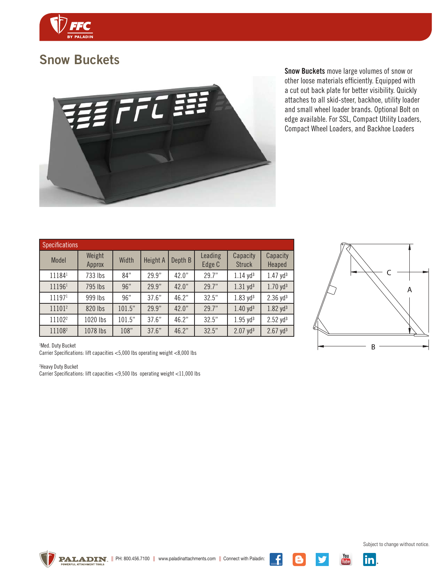

### Snow Buckets



Snow Buckets move large volumes of snow or other loose materials efficiently. Equipped with a cut out back plate for better visibility. Quickly attaches to all skid-steer, backhoe, utility loader and small wheel loader brands. Optional Bolt on edge available. For SSL, Compact Utility Loaders, Compact Wheel Loaders, and Backhoe Loaders

| <b>Specifications</b> |                  |        |          |         |                   |                           |                        |
|-----------------------|------------------|--------|----------|---------|-------------------|---------------------------|------------------------|
| Model                 | Weight<br>Approx | Width  | Height A | Depth B | Leading<br>Edge C | Capacity<br><b>Struck</b> | Capacity<br>Heaped     |
| 111841                | 733 lbs          | 84"    | 29.9"    | 42.0"   | 29.7"             | $1.14$ yd <sup>3</sup>    | $1.47 \text{ yd}^3$    |
| 111961                | 795 lbs          | 96"    | 29.9"    | 42.0"   | 29.7"             | $1.31$ yd <sup>3</sup>    | $1.70$ yd <sup>3</sup> |
| 111971                | 999 lbs          | 96"    | 37.6"    | 46.2"   | 32.5"             | $1.83$ yd <sup>3</sup>    | $2.36$ yd <sup>3</sup> |
| 111012                | 820 lbs          | 101.5" | 29.9"    | 42.0"   | 29.7"             | 1.40 yd <sup>3</sup>      | $1.82 \text{ yd}^3$    |
| 11102 <sup>2</sup>    | 1020 lbs         | 101.5" | 37.6"    | 46.2"   | 32.5"             | $1.95$ yd <sup>3</sup>    | $2.52 \text{ yd}^3$    |
| 111082                | 1078 lbs         | 108"   | 37.6"    | 46.2"   | 32.5"             | $2.07$ yd <sup>3</sup>    | $2.67$ yd <sup>3</sup> |



<sup>1</sup>Med. Duty Bucket

Carrier Specifications: lift capacities <5,000 lbs operating weight <8,000 lbs

<sup>2</sup>Heavy Duty Bucket

Carrier Specifications: lift capacities <9,500 lbs operating weight <11,000 lbs



Subject to change without notice.

 $\frac{You}{Iulhe}$ 

 $\vert$ in $\vert$